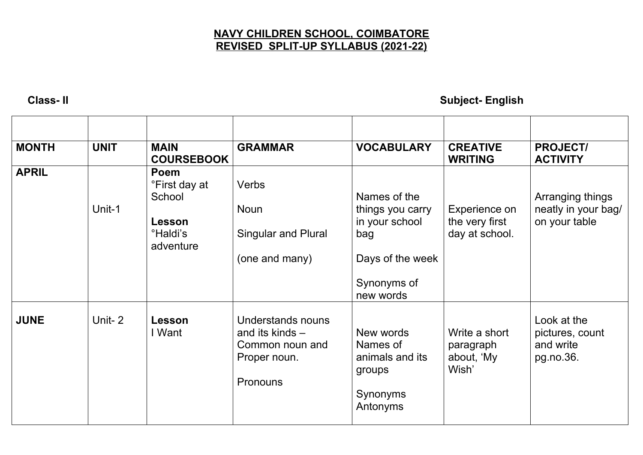## **NAVY CHILDREN SCHOOL, COIMBATORE REVISED SPLIT-UP SYLLABUS (2021-22)**

**Class- II Subject- English**

| <b>MONTH</b> | <b>UNIT</b> | <b>MAIN</b><br><b>COURSEBOOK</b>                                               | <b>GRAMMAR</b>                                                                               | <b>VOCABULARY</b>                                                                            | <b>CREATIVE</b><br><b>WRITING</b>                 | <b>PROJECT/</b><br><b>ACTIVITY</b>                       |
|--------------|-------------|--------------------------------------------------------------------------------|----------------------------------------------------------------------------------------------|----------------------------------------------------------------------------------------------|---------------------------------------------------|----------------------------------------------------------|
| <b>APRIL</b> | Unit-1      | Poem<br>°First day at<br>School<br>Lesson<br><sup>o</sup> Haldi's<br>adventure | Verbs<br><b>Noun</b><br><b>Singular and Plural</b><br>(one and many)                         | Names of the<br>things you carry<br>in your school<br>bag<br>Days of the week<br>Synonyms of | Experience on<br>the very first<br>day at school. | Arranging things<br>neatly in your bag/<br>on your table |
|              |             |                                                                                |                                                                                              | new words                                                                                    |                                                   |                                                          |
| <b>JUNE</b>  | Unit-2      | Lesson<br>I Want                                                               | Understands nouns<br>and its kinds $-$<br>Common noun and<br>Proper noun.<br><b>Pronouns</b> | New words<br>Names of<br>animals and its<br>groups<br>Synonyms<br>Antonyms                   | Write a short<br>paragraph<br>about, 'My<br>Wish' | Look at the<br>pictures, count<br>and write<br>pg.no.36. |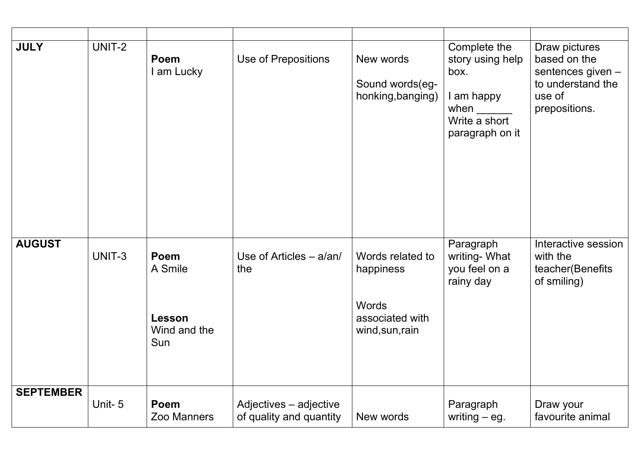| <b>JULY</b>      | UNIT-2 | Poem<br>I am Lucky                               | Use of Prepositions                               | New words<br>Sound words(eg-<br>honking, banging)                                   | Complete the<br>story using help<br>box.<br>I am happy<br>when $\frac{1}{2}$<br>Write a short<br>paragraph on it | Draw pictures<br>based on the<br>sentences given -<br>to understand the<br>use of<br>prepositions. |
|------------------|--------|--------------------------------------------------|---------------------------------------------------|-------------------------------------------------------------------------------------|------------------------------------------------------------------------------------------------------------------|----------------------------------------------------------------------------------------------------|
| <b>AUGUST</b>    | UNIT-3 | Poem<br>A Smile<br>Lesson<br>Wind and the<br>Sun | Use of Articles $- a$ /an/<br>the                 | Words related to<br>happiness<br><b>Words</b><br>associated with<br>wind, sun, rain | Paragraph<br>writing-What<br>you feel on a<br>rainy day                                                          | Interactive session<br>with the<br>teacher(Benefits<br>of smiling)                                 |
| <b>SEPTEMBER</b> | Unit-5 | Poem<br>Zoo Manners                              | Adjectives - adjective<br>of quality and quantity | New words                                                                           | Paragraph<br>writing $-$ eg.                                                                                     | Draw your<br>favourite animal                                                                      |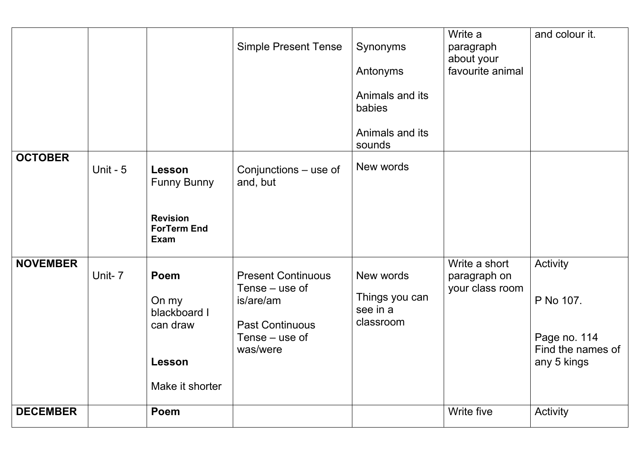| <b>OCTOBER</b>  |            |                                                                                      | <b>Simple Present Tense</b>                                                                                      | Synonyms<br>Antonyms<br>Animals and its<br>babies<br>Animals and its<br>sounds | Write a<br>paragraph<br>about your<br>favourite animal | and colour it.                                                            |
|-----------------|------------|--------------------------------------------------------------------------------------|------------------------------------------------------------------------------------------------------------------|--------------------------------------------------------------------------------|--------------------------------------------------------|---------------------------------------------------------------------------|
|                 | Unit - $5$ | Lesson<br><b>Funny Bunny</b><br><b>Revision</b><br><b>ForTerm End</b><br><b>Exam</b> | Conjunctions – use of<br>and, but                                                                                | New words                                                                      |                                                        |                                                                           |
| <b>NOVEMBER</b> | Unit-7     | Poem<br>On my<br>blackboard I<br>can draw<br><b>Lesson</b><br>Make it shorter        | <b>Present Continuous</b><br>Tense – use of<br>is/are/am<br><b>Past Continuous</b><br>Tense – use of<br>was/were | New words<br>Things you can<br>see in a<br>classroom                           | Write a short<br>paragraph on<br>your class room       | Activity<br>P No 107.<br>Page no. 114<br>Find the names of<br>any 5 kings |
| <b>DECEMBER</b> |            | Poem                                                                                 |                                                                                                                  |                                                                                | Write five                                             | Activity                                                                  |